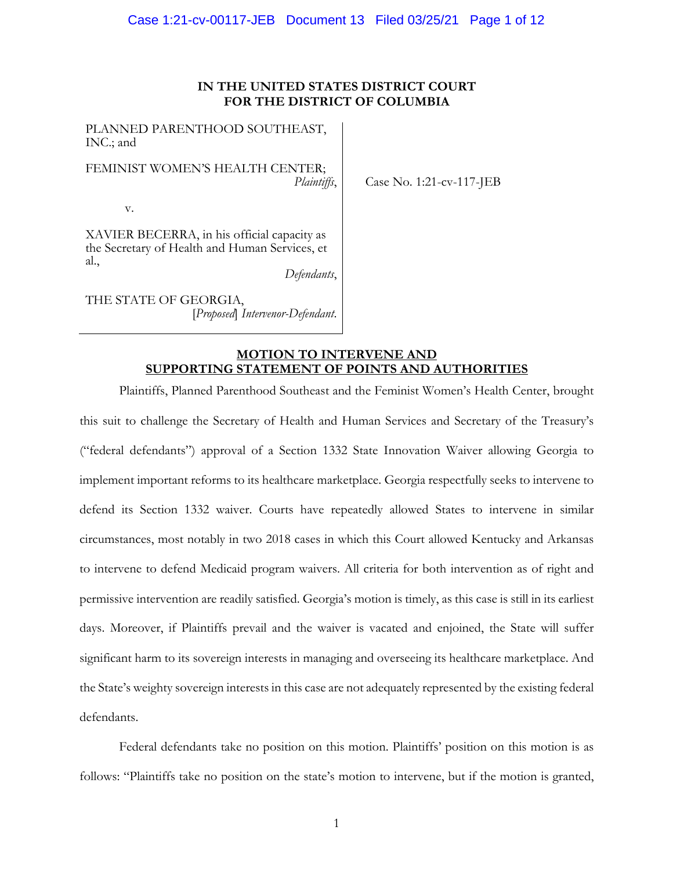# **IN THE UNITED STATES DISTRICT COURT FOR THE DISTRICT OF COLUMBIA**

Case No. 1:21-cv-117-JEB

PLANNED PARENTHOOD SOUTHEAST, INC.; and

FEMINIST WOMEN'S HEALTH CENTER; *Plaintiffs*,

v.

XAVIER BECERRA, in his official capacity as the Secretary of Health and Human Services, et al.,

*Defendants*,

THE STATE OF GEORGIA, [*Proposed*] *Intervenor-Defendant*.

> **MOTION TO INTERVENE AND SUPPORTING STATEMENT OF POINTS AND AUTHORITIES**

Plaintiffs, Planned Parenthood Southeast and the Feminist Women's Health Center, brought this suit to challenge the Secretary of Health and Human Services and Secretary of the Treasury's ("federal defendants") approval of a Section 1332 State Innovation Waiver allowing Georgia to implement important reforms to its healthcare marketplace. Georgia respectfully seeks to intervene to defend its Section 1332 waiver. Courts have repeatedly allowed States to intervene in similar circumstances, most notably in two 2018 cases in which this Court allowed Kentucky and Arkansas to intervene to defend Medicaid program waivers. All criteria for both intervention as of right and permissive intervention are readily satisfied. Georgia's motion is timely, as this case is still in its earliest days. Moreover, if Plaintiffs prevail and the waiver is vacated and enjoined, the State will suffer significant harm to its sovereign interests in managing and overseeing its healthcare marketplace. And the State's weighty sovereign interests in this case are not adequately represented by the existing federal defendants.

Federal defendants take no position on this motion. Plaintiffs' position on this motion is as follows: "Plaintiffs take no position on the state's motion to intervene, but if the motion is granted,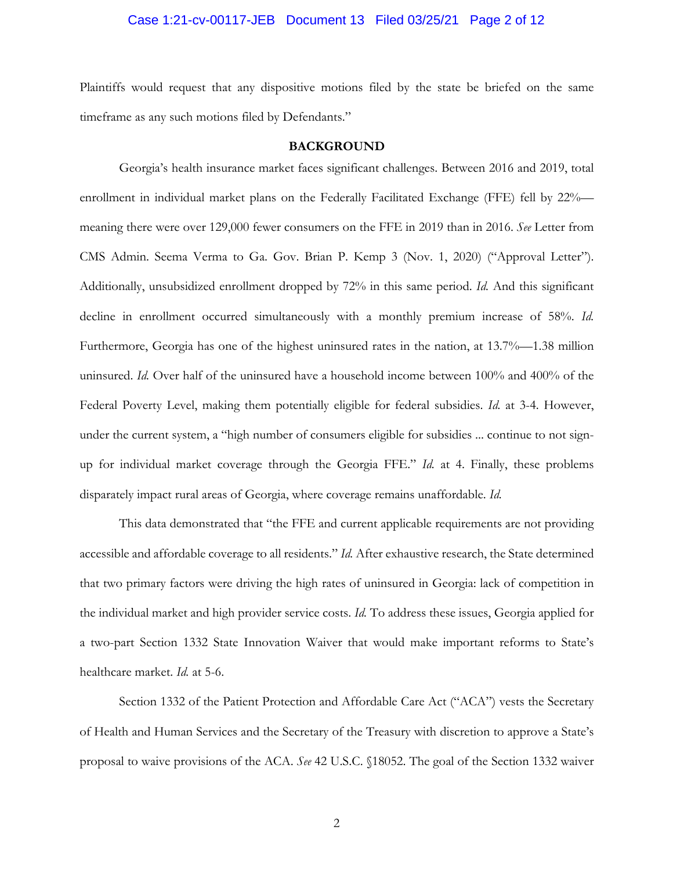## Case 1:21-cv-00117-JEB Document 13 Filed 03/25/21 Page 2 of 12

Plaintiffs would request that any dispositive motions filed by the state be briefed on the same timeframe as any such motions filed by Defendants."

#### **BACKGROUND**

Georgia's health insurance market faces significant challenges. Between 2016 and 2019, total enrollment in individual market plans on the Federally Facilitated Exchange (FFE) fell by 22% meaning there were over 129,000 fewer consumers on the FFE in 2019 than in 2016. *See* Letter from CMS Admin. Seema Verma to Ga. Gov. Brian P. Kemp 3 (Nov. 1, 2020) ("Approval Letter"). Additionally, unsubsidized enrollment dropped by 72% in this same period. *Id.* And this significant decline in enrollment occurred simultaneously with a monthly premium increase of 58%. *Id.*  Furthermore, Georgia has one of the highest uninsured rates in the nation, at 13.7%—1.38 million uninsured. *Id.* Over half of the uninsured have a household income between 100% and 400% of the Federal Poverty Level, making them potentially eligible for federal subsidies. *Id.* at 3-4. However, under the current system, a "high number of consumers eligible for subsidies ... continue to not signup for individual market coverage through the Georgia FFE." *Id.* at 4. Finally, these problems disparately impact rural areas of Georgia, where coverage remains unaffordable. *Id.*

This data demonstrated that "the FFE and current applicable requirements are not providing accessible and affordable coverage to all residents." *Id.* After exhaustive research, the State determined that two primary factors were driving the high rates of uninsured in Georgia: lack of competition in the individual market and high provider service costs. *Id.* To address these issues, Georgia applied for a two-part Section 1332 State Innovation Waiver that would make important reforms to State's healthcare market. *Id.* at 5-6.

Section 1332 of the Patient Protection and Affordable Care Act ("ACA") vests the Secretary of Health and Human Services and the Secretary of the Treasury with discretion to approve a State's proposal to waive provisions of the ACA. *See* 42 U.S.C. §18052. The goal of the Section 1332 waiver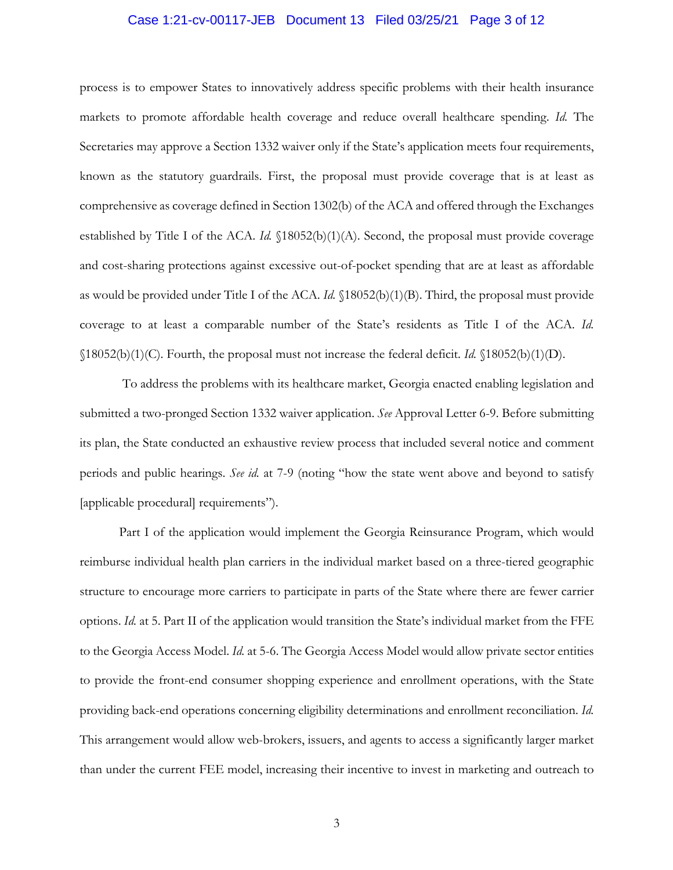## Case 1:21-cv-00117-JEB Document 13 Filed 03/25/21 Page 3 of 12

process is to empower States to innovatively address specific problems with their health insurance markets to promote affordable health coverage and reduce overall healthcare spending. *Id.* The Secretaries may approve a Section 1332 waiver only if the State's application meets four requirements, known as the statutory guardrails. First, the proposal must provide coverage that is at least as comprehensive as coverage defined in Section 1302(b) of the ACA and offered through the Exchanges established by Title I of the ACA. *Id.* §18052(b)(1)(A). Second, the proposal must provide coverage and cost-sharing protections against excessive out-of-pocket spending that are at least as affordable as would be provided under Title I of the ACA. *Id.* §18052(b)(1)(B). Third, the proposal must provide coverage to at least a comparable number of the State's residents as Title I of the ACA. *Id.*  §18052(b)(1)(C). Fourth, the proposal must not increase the federal deficit. *Id.* §18052(b)(1)(D).

To address the problems with its healthcare market, Georgia enacted enabling legislation and submitted a two-pronged Section 1332 waiver application. *See* Approval Letter 6-9. Before submitting its plan, the State conducted an exhaustive review process that included several notice and comment periods and public hearings. *See id.* at 7-9 (noting "how the state went above and beyond to satisfy [applicable procedural] requirements").

Part I of the application would implement the Georgia Reinsurance Program, which would reimburse individual health plan carriers in the individual market based on a three-tiered geographic structure to encourage more carriers to participate in parts of the State where there are fewer carrier options. *Id.* at 5. Part II of the application would transition the State's individual market from the FFE to the Georgia Access Model. *Id.* at 5-6. The Georgia Access Model would allow private sector entities to provide the front-end consumer shopping experience and enrollment operations, with the State providing back-end operations concerning eligibility determinations and enrollment reconciliation. *Id.*  This arrangement would allow web-brokers, issuers, and agents to access a significantly larger market than under the current FEE model, increasing their incentive to invest in marketing and outreach to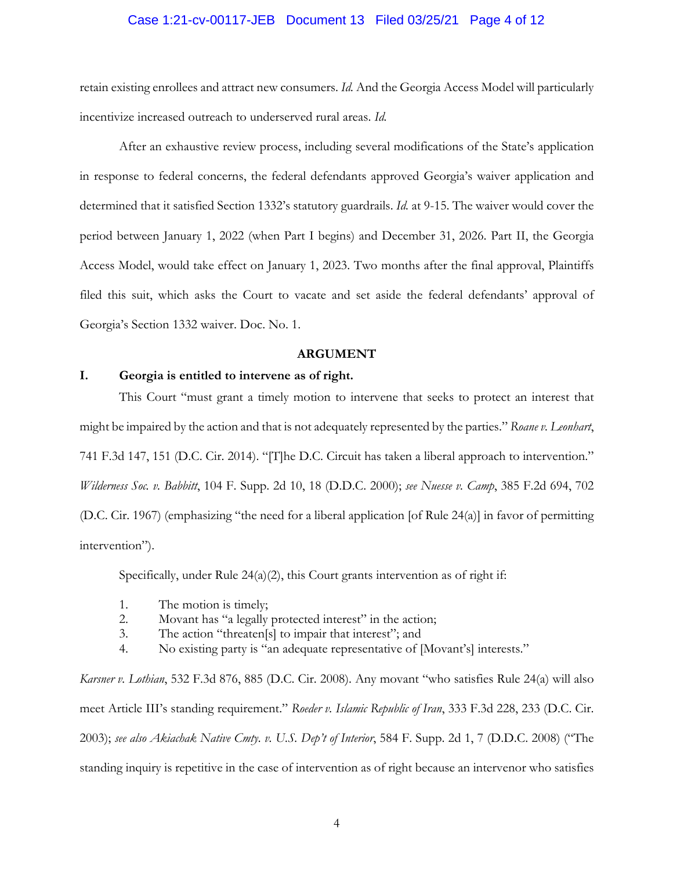## Case 1:21-cv-00117-JEB Document 13 Filed 03/25/21 Page 4 of 12

retain existing enrollees and attract new consumers. *Id.* And the Georgia Access Model will particularly incentivize increased outreach to underserved rural areas. *Id.*

After an exhaustive review process, including several modifications of the State's application in response to federal concerns, the federal defendants approved Georgia's waiver application and determined that it satisfied Section 1332's statutory guardrails. *Id.* at 9-15. The waiver would cover the period between January 1, 2022 (when Part I begins) and December 31, 2026. Part II, the Georgia Access Model, would take effect on January 1, 2023. Two months after the final approval, Plaintiffs filed this suit, which asks the Court to vacate and set aside the federal defendants' approval of Georgia's Section 1332 waiver. Doc. No. 1.

#### **ARGUMENT**

#### **I. Georgia is entitled to intervene as of right.**

This Court "must grant a timely motion to intervene that seeks to protect an interest that might be impaired by the action and that is not adequately represented by the parties." *Roane v. Leonhart*, 741 F.3d 147, 151 (D.C. Cir. 2014). "[T]he D.C. Circuit has taken a liberal approach to intervention." *Wilderness Soc. v. Babbitt*, 104 F. Supp. 2d 10, 18 (D.D.C. 2000); *see Nuesse v. Camp*, 385 F.2d 694, 702 (D.C. Cir. 1967) (emphasizing "the need for a liberal application [of Rule 24(a)] in favor of permitting intervention").

Specifically, under Rule 24(a)(2), this Court grants intervention as of right if:

- 1. The motion is timely;
- 2. Movant has "a legally protected interest" in the action;
- 3. The action "threaten[s] to impair that interest"; and
- 4. No existing party is "an adequate representative of [Movant's] interests."

*Karsner v. Lothian*, 532 F.3d 876, 885 (D.C. Cir. 2008). Any movant "who satisfies Rule 24(a) will also meet Article III's standing requirement." *Roeder v. Islamic Republic of Iran*, 333 F.3d 228, 233 (D.C. Cir. 2003); *see also Akiachak Native Cmty. v. U.S. Dep't of Interior*, 584 F. Supp. 2d 1, 7 (D.D.C. 2008) ("The standing inquiry is repetitive in the case of intervention as of right because an intervenor who satisfies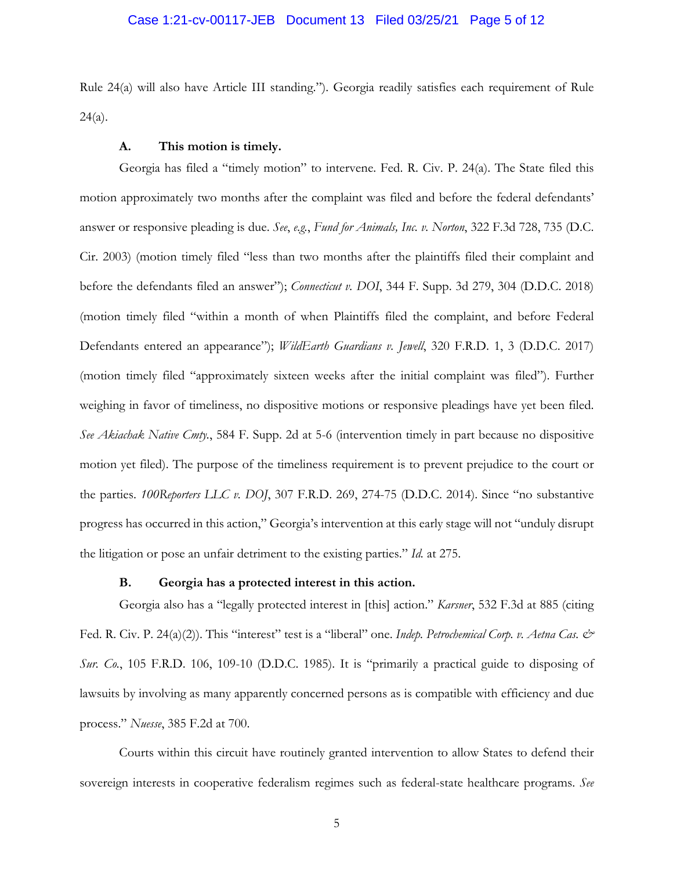## Case 1:21-cv-00117-JEB Document 13 Filed 03/25/21 Page 5 of 12

Rule 24(a) will also have Article III standing."). Georgia readily satisfies each requirement of Rule  $24(a)$ .

#### **A. This motion is timely.**

Georgia has filed a "timely motion" to intervene. Fed. R. Civ. P. 24(a). The State filed this motion approximately two months after the complaint was filed and before the federal defendants' answer or responsive pleading is due. *See*, *e.g.*, *Fund for Animals, Inc. v. Norton*, 322 F.3d 728, 735 (D.C. Cir. 2003) (motion timely filed "less than two months after the plaintiffs filed their complaint and before the defendants filed an answer"); *Connecticut v. DOI*, 344 F. Supp. 3d 279, 304 (D.D.C. 2018) (motion timely filed "within a month of when Plaintiffs filed the complaint, and before Federal Defendants entered an appearance"); *WildEarth Guardians v. Jewell*, 320 F.R.D. 1, 3 (D.D.C. 2017) (motion timely filed "approximately sixteen weeks after the initial complaint was filed"). Further weighing in favor of timeliness, no dispositive motions or responsive pleadings have yet been filed. *See Akiachak Native Cmty.*, 584 F. Supp. 2d at 5-6 (intervention timely in part because no dispositive motion yet filed). The purpose of the timeliness requirement is to prevent prejudice to the court or the parties. *100Reporters LLC v. DOJ*, 307 F.R.D. 269, 274-75 (D.D.C. 2014). Since "no substantive progress has occurred in this action," Georgia's intervention at this early stage will not "unduly disrupt the litigation or pose an unfair detriment to the existing parties." *Id.* at 275.

#### **B. Georgia has a protected interest in this action.**

Georgia also has a "legally protected interest in [this] action." *Karsner*, 532 F.3d at 885 (citing Fed. R. Civ. P. 24(a)(2)). This "interest" test is a "liberal" one. *Indep. Petrochemical Corp. v. Aetna Cas. & Sur. Co.*, 105 F.R.D. 106, 109-10 (D.D.C. 1985). It is "primarily a practical guide to disposing of lawsuits by involving as many apparently concerned persons as is compatible with efficiency and due process." *Nuesse*, 385 F.2d at 700.

Courts within this circuit have routinely granted intervention to allow States to defend their sovereign interests in cooperative federalism regimes such as federal-state healthcare programs. *See*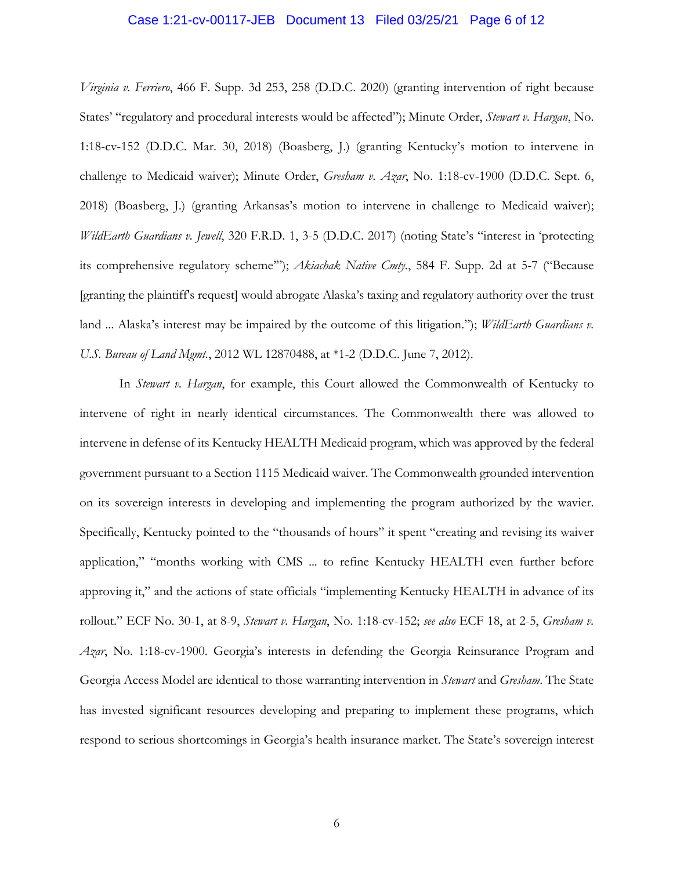### Case 1:21-cv-00117-JEB Document 13 Filed 03/25/21 Page 6 of 12

*Virginia v. Ferriero*, 466 F. Supp. 3d 253, 258 (D.D.C. 2020) (granting intervention of right because States' "regulatory and procedural interests would be affected"); Minute Order, *Stewart v. Hargan*, No. 1:18-cv-152 (D.D.C. Mar. 30, 2018) (Boasberg, J.) (granting Kentucky's motion to intervene in challenge to Medicaid waiver); Minute Order, *Gresham v. Azar*, No. 1:18-cv-1900 (D.D.C. Sept. 6, 2018) (Boasberg, J.) (granting Arkansas's motion to intervene in challenge to Medicaid waiver); *WildEarth Guardians v. Jewell*, 320 F.R.D. 1, 3-5 (D.D.C. 2017) (noting State's "interest in 'protecting its comprehensive regulatory scheme'"); *Akiachak Native Cmty.*, 584 F. Supp. 2d at 5-7 ("Because [granting the plaintiff's request] would abrogate Alaska's taxing and regulatory authority over the trust land ... Alaska's interest may be impaired by the outcome of this litigation."); *WildEarth Guardians v. U.S. Bureau of Land Mgmt.*, 2012 WL 12870488, at \*1-2 (D.D.C. June 7, 2012).

In *Stewart v. Hargan*, for example, this Court allowed the Commonwealth of Kentucky to intervene of right in nearly identical circumstances. The Commonwealth there was allowed to intervene in defense of its Kentucky HEALTH Medicaid program, which was approved by the federal government pursuant to a Section 1115 Medicaid waiver. The Commonwealth grounded intervention on its sovereign interests in developing and implementing the program authorized by the wavier. Specifically, Kentucky pointed to the "thousands of hours" it spent "creating and revising its waiver application," "months working with CMS ... to refine Kentucky HEALTH even further before approving it," and the actions of state officials "implementing Kentucky HEALTH in advance of its rollout." ECF No. 30-1, at 8-9, *Stewart v. Hargan*, No. 1:18-cv-152; *see also* ECF 18, at 2-5, *Gresham v. Azar*, No. 1:18-cv-1900. Georgia's interests in defending the Georgia Reinsurance Program and Georgia Access Model are identical to those warranting intervention in *Stewart* and *Gresham*. The State has invested significant resources developing and preparing to implement these programs, which respond to serious shortcomings in Georgia's health insurance market. The State's sovereign interest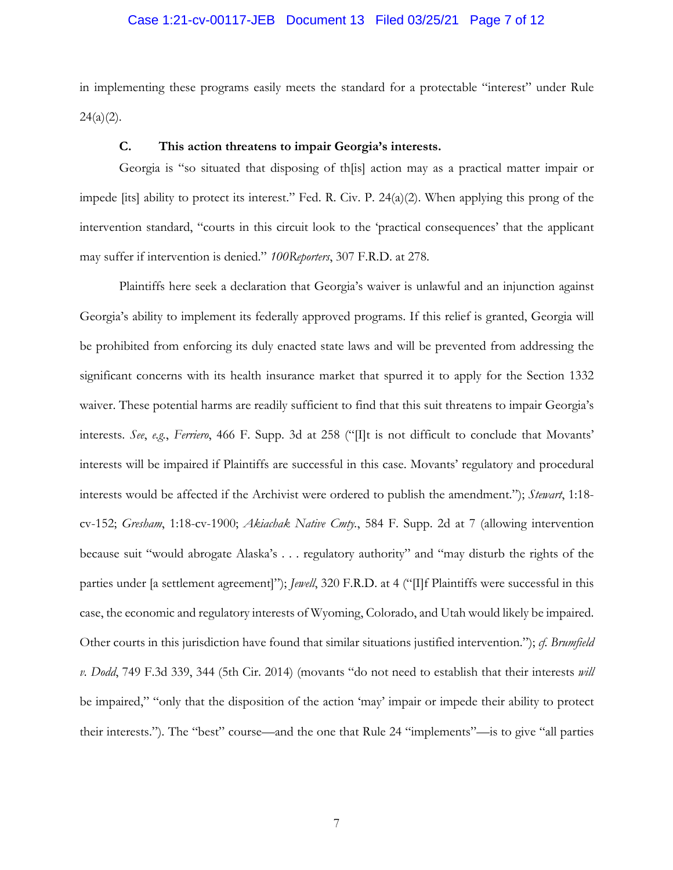## Case 1:21-cv-00117-JEB Document 13 Filed 03/25/21 Page 7 of 12

in implementing these programs easily meets the standard for a protectable "interest" under Rule  $24(a)(2)$ .

#### **C. This action threatens to impair Georgia's interests.**

Georgia is "so situated that disposing of th[is] action may as a practical matter impair or impede [its] ability to protect its interest." Fed. R. Civ. P. 24(a)(2). When applying this prong of the intervention standard, "courts in this circuit look to the 'practical consequences' that the applicant may suffer if intervention is denied." *100Reporters*, 307 F.R.D. at 278.

Plaintiffs here seek a declaration that Georgia's waiver is unlawful and an injunction against Georgia's ability to implement its federally approved programs. If this relief is granted, Georgia will be prohibited from enforcing its duly enacted state laws and will be prevented from addressing the significant concerns with its health insurance market that spurred it to apply for the Section 1332 waiver. These potential harms are readily sufficient to find that this suit threatens to impair Georgia's interests. *See*, *e.g.*, *Ferriero*, 466 F. Supp. 3d at 258 ("[I]t is not difficult to conclude that Movants' interests will be impaired if Plaintiffs are successful in this case. Movants' regulatory and procedural interests would be affected if the Archivist were ordered to publish the amendment."); *Stewart*, 1:18 cv-152; *Gresham*, 1:18-cv-1900; *Akiachak Native Cmty.*, 584 F. Supp. 2d at 7 (allowing intervention because suit "would abrogate Alaska's . . . regulatory authority" and "may disturb the rights of the parties under [a settlement agreement]"); *Jewell*, 320 F.R.D. at 4 ("[I]f Plaintiffs were successful in this case, the economic and regulatory interests of Wyoming, Colorado, and Utah would likely be impaired. Other courts in this jurisdiction have found that similar situations justified intervention."); *cf. Brumfield v. Dodd*, 749 F.3d 339, 344 (5th Cir. 2014) (movants "do not need to establish that their interests *will* be impaired," "only that the disposition of the action 'may' impair or impede their ability to protect their interests.")*.* The "best" course—and the one that Rule 24 "implements"—is to give "all parties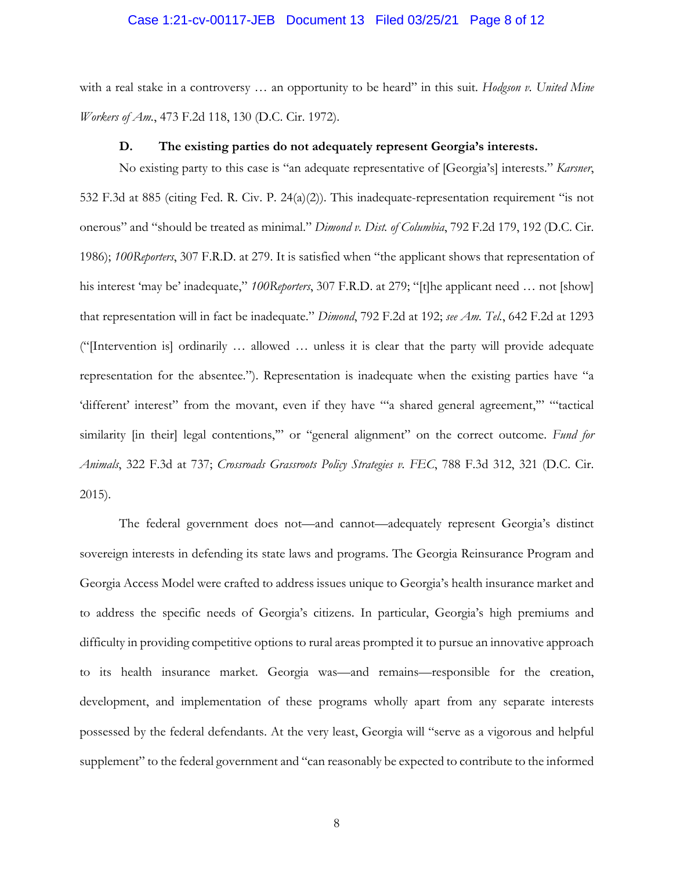#### Case 1:21-cv-00117-JEB Document 13 Filed 03/25/21 Page 8 of 12

with a real stake in a controversy … an opportunity to be heard" in this suit. *Hodgson v. United Mine Workers of Am.*, 473 F.2d 118, 130 (D.C. Cir. 1972).

#### **D. The existing parties do not adequately represent Georgia's interests.**

No existing party to this case is "an adequate representative of [Georgia's] interests." *Karsner*, 532 F.3d at 885 (citing Fed. R. Civ. P. 24(a)(2)). This inadequate-representation requirement "is not onerous" and "should be treated as minimal." *Dimond v. Dist. of Columbia*, 792 F.2d 179, 192 (D.C. Cir. 1986); *100Reporters*, 307 F.R.D. at 279. It is satisfied when "the applicant shows that representation of his interest 'may be' inadequate," *100Reporters*, 307 F.R.D. at 279; "[t]he applicant need … not [show] that representation will in fact be inadequate." *Dimond*, 792 F.2d at 192; *see Am. Tel.*, 642 F.2d at 1293 ("[Intervention is] ordinarily … allowed … unless it is clear that the party will provide adequate representation for the absentee."). Representation is inadequate when the existing parties have "a 'different' interest" from the movant, even if they have "'a shared general agreement," "tactical similarity [in their] legal contentions," or "general alignment" on the correct outcome. Fund for *Animals*, 322 F.3d at 737; *Crossroads Grassroots Policy Strategies v. FEC*, 788 F.3d 312, 321 (D.C. Cir. 2015).

The federal government does not—and cannot—adequately represent Georgia's distinct sovereign interests in defending its state laws and programs. The Georgia Reinsurance Program and Georgia Access Model were crafted to address issues unique to Georgia's health insurance market and to address the specific needs of Georgia's citizens. In particular, Georgia's high premiums and difficulty in providing competitive options to rural areas prompted it to pursue an innovative approach to its health insurance market. Georgia was—and remains—responsible for the creation, development, and implementation of these programs wholly apart from any separate interests possessed by the federal defendants. At the very least, Georgia will "serve as a vigorous and helpful supplement" to the federal government and "can reasonably be expected to contribute to the informed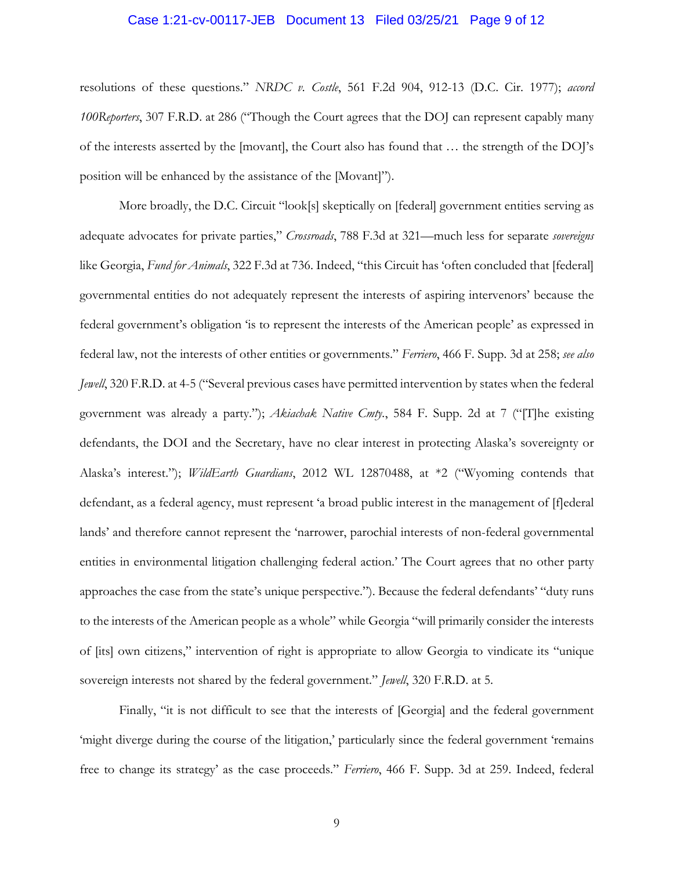# Case 1:21-cv-00117-JEB Document 13 Filed 03/25/21 Page 9 of 12

resolutions of these questions." *NRDC v. Costle*, 561 F.2d 904, 912-13 (D.C. Cir. 1977); *accord 100Reporters*, 307 F.R.D. at 286 ("Though the Court agrees that the DOJ can represent capably many of the interests asserted by the [movant], the Court also has found that … the strength of the DOJ's position will be enhanced by the assistance of the [Movant]").

More broadly, the D.C. Circuit "look[s] skeptically on [federal] government entities serving as adequate advocates for private parties," *Crossroads*, 788 F.3d at 321—much less for separate *sovereigns* like Georgia, *Fund for Animals*, 322 F.3d at 736. Indeed, "this Circuit has 'often concluded that [federal] governmental entities do not adequately represent the interests of aspiring intervenors' because the federal government's obligation 'is to represent the interests of the American people' as expressed in federal law, not the interests of other entities or governments." *Ferriero*, 466 F. Supp. 3d at 258; *see also Jewell*, 320 F.R.D. at 4-5 ("Several previous cases have permitted intervention by states when the federal government was already a party."); *Akiachak Native Cmty.*, 584 F. Supp. 2d at 7 ("[T]he existing defendants, the DOI and the Secretary, have no clear interest in protecting Alaska's sovereignty or Alaska's interest."); *WildEarth Guardians*, 2012 WL 12870488, at \*2 ("Wyoming contends that defendant, as a federal agency, must represent 'a broad public interest in the management of [f]ederal lands' and therefore cannot represent the 'narrower, parochial interests of non-federal governmental entities in environmental litigation challenging federal action.' The Court agrees that no other party approaches the case from the state's unique perspective."). Because the federal defendants' "duty runs to the interests of the American people as a whole" while Georgia "will primarily consider the interests of [its] own citizens," intervention of right is appropriate to allow Georgia to vindicate its "unique sovereign interests not shared by the federal government." *Jewell*, 320 F.R.D. at 5.

Finally, "it is not difficult to see that the interests of [Georgia] and the federal government 'might diverge during the course of the litigation,' particularly since the federal government 'remains free to change its strategy' as the case proceeds." *Ferriero*, 466 F. Supp. 3d at 259. Indeed, federal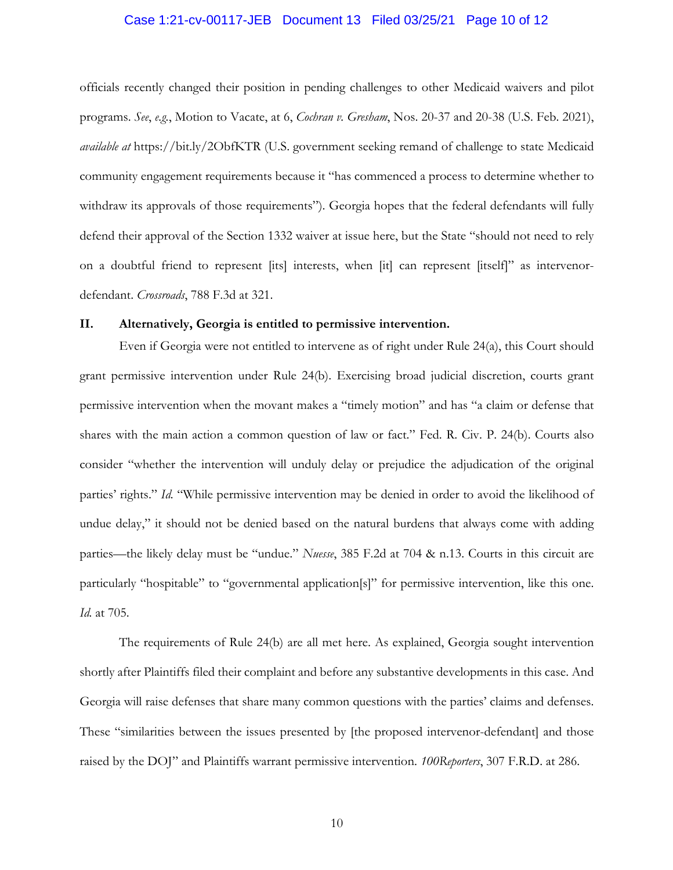# Case 1:21-cv-00117-JEB Document 13 Filed 03/25/21 Page 10 of 12

officials recently changed their position in pending challenges to other Medicaid waivers and pilot programs. *See*, *e.g.*, Motion to Vacate, at 6, *Cochran v. Gresham*, Nos. 20-37 and 20-38 (U.S. Feb. 2021), *available at* https://bit.ly/2ObfKTR (U.S. government seeking remand of challenge to state Medicaid community engagement requirements because it "has commenced a process to determine whether to withdraw its approvals of those requirements"). Georgia hopes that the federal defendants will fully defend their approval of the Section 1332 waiver at issue here, but the State "should not need to rely on a doubtful friend to represent [its] interests, when [it] can represent [itself]" as intervenordefendant. *Crossroads*, 788 F.3d at 321.

#### **II. Alternatively, Georgia is entitled to permissive intervention.**

Even if Georgia were not entitled to intervene as of right under Rule 24(a), this Court should grant permissive intervention under Rule 24(b). Exercising broad judicial discretion, courts grant permissive intervention when the movant makes a "timely motion" and has "a claim or defense that shares with the main action a common question of law or fact." Fed. R. Civ. P. 24(b). Courts also consider "whether the intervention will unduly delay or prejudice the adjudication of the original parties' rights." *Id.* "While permissive intervention may be denied in order to avoid the likelihood of undue delay," it should not be denied based on the natural burdens that always come with adding parties—the likely delay must be "undue." *Nuesse*, 385 F.2d at 704 & n.13. Courts in this circuit are particularly "hospitable" to "governmental application[s]" for permissive intervention, like this one. *Id.* at 705.

The requirements of Rule 24(b) are all met here. As explained, Georgia sought intervention shortly after Plaintiffs filed their complaint and before any substantive developments in this case. And Georgia will raise defenses that share many common questions with the parties' claims and defenses. These "similarities between the issues presented by [the proposed intervenor-defendant] and those raised by the DOJ" and Plaintiffs warrant permissive intervention. *100Reporters*, 307 F.R.D. at 286.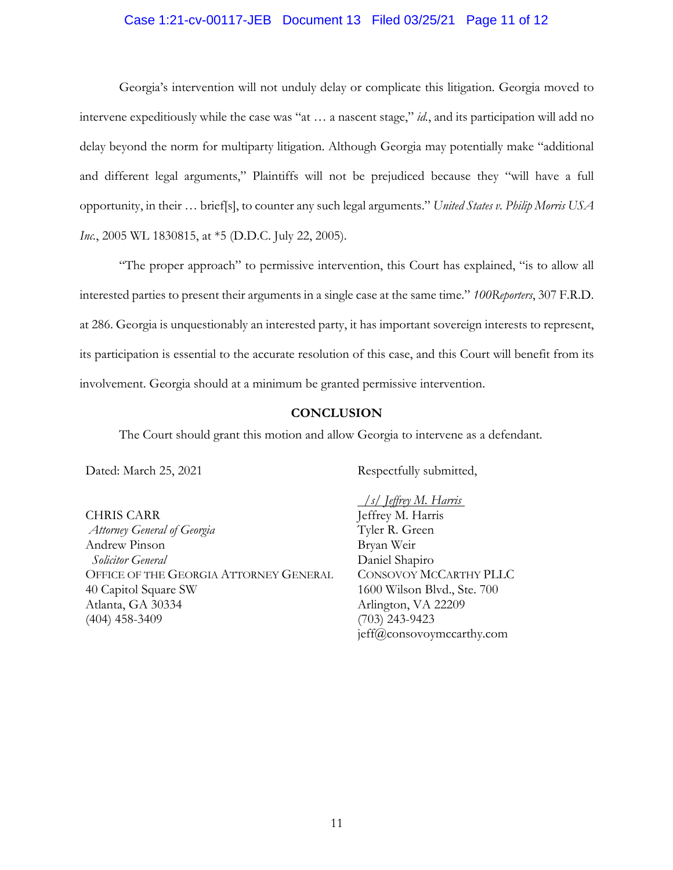## Case 1:21-cv-00117-JEB Document 13 Filed 03/25/21 Page 11 of 12

Georgia's intervention will not unduly delay or complicate this litigation. Georgia moved to intervene expeditiously while the case was "at … a nascent stage," *id.*, and its participation will add no delay beyond the norm for multiparty litigation. Although Georgia may potentially make "additional and different legal arguments," Plaintiffs will not be prejudiced because they "will have a full opportunity, in their … brief[s], to counter any such legal arguments." *United States v. Philip Morris USA Inc.*, 2005 WL 1830815, at \*5 (D.D.C. July 22, 2005).

"The proper approach" to permissive intervention, this Court has explained, "is to allow all interested parties to present their arguments in a single case at the same time." *100Reporters*, 307 F.R.D. at 286. Georgia is unquestionably an interested party, it has important sovereign interests to represent, its participation is essential to the accurate resolution of this case, and this Court will benefit from its involvement. Georgia should at a minimum be granted permissive intervention.

# **CONCLUSION**

The Court should grant this motion and allow Georgia to intervene as a defendant.

Dated: March 25, 2021

CHRIS CARR *Attorney General of Georgia* Andrew Pinson  *Solicitor General*  OFFICE OF THE GEORGIA ATTORNEY GENERAL 40 Capitol Square SW Atlanta, GA 30334 (404) 458-3409

Respectfully submitted,

*/s/ Jeffrey M. Harris* Jeffrey M. Harris Tyler R. Green Bryan Weir Daniel Shapiro CONSOVOY MCCARTHY PLLC 1600 Wilson Blvd., Ste. 700 Arlington, VA 22209 (703) 243-9423 jeff@consovoymccarthy.com